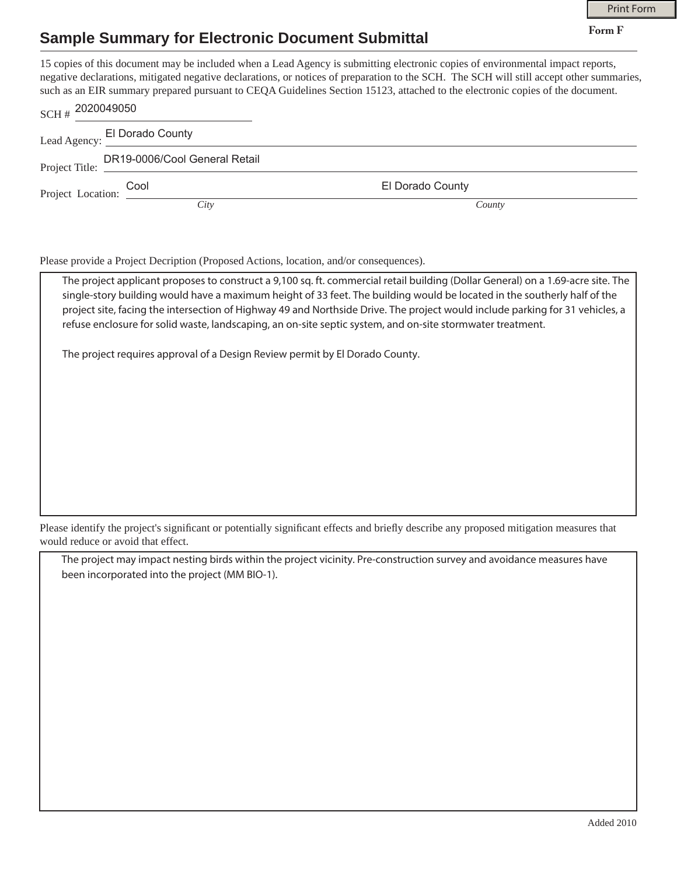**Form F**

## **Sample Summary for Electronic Document Submittal**

15 copies of this document may be included when a Lead Agency is submitting electronic copies of environmental impact reports, negative declarations, mitigated negative declarations, or notices of preparation to the SCH. The SCH will still accept other summaries, such as an EIR summary prepared pursuant to CEQA Guidelines Section 15123, attached to the electronic copies of the document.

| SCH # 2020049050       |                                                 |                  |
|------------------------|-------------------------------------------------|------------------|
|                        | Lead Agency: El Dorado County                   |                  |
|                        | DR19-0006/Cool General Retail<br>Project Title: |                  |
| Project Location: Cool |                                                 | El Dorado County |
|                        | City                                            | County           |

Please provide a Project Decription (Proposed Actions, location, and/or consequences).

The project applicant proposes to construct a 9,100 sq. ft. commercial retail building (Dollar General) on a 1.69-acre site. The single-story building would have a maximum height of 33 feet. The building would be located in the southerly half of the project site, facing the intersection of Highway 49 and Northside Drive. The project would include parking for 31 vehicles, a refuse enclosure for solid waste, landscaping, an on-site septic system, and on-site stormwater treatment.

The project requires approval of a Design Review permit by El Dorado County.

Please identify the project's significant or potentially significant effects and briefly describe any proposed mitigation measures that would reduce or avoid that effect.

The project may impact nesting birds within the project vicinity. Pre-construction survey and avoidance measures have been incorporated into the project (MM BIO-1).